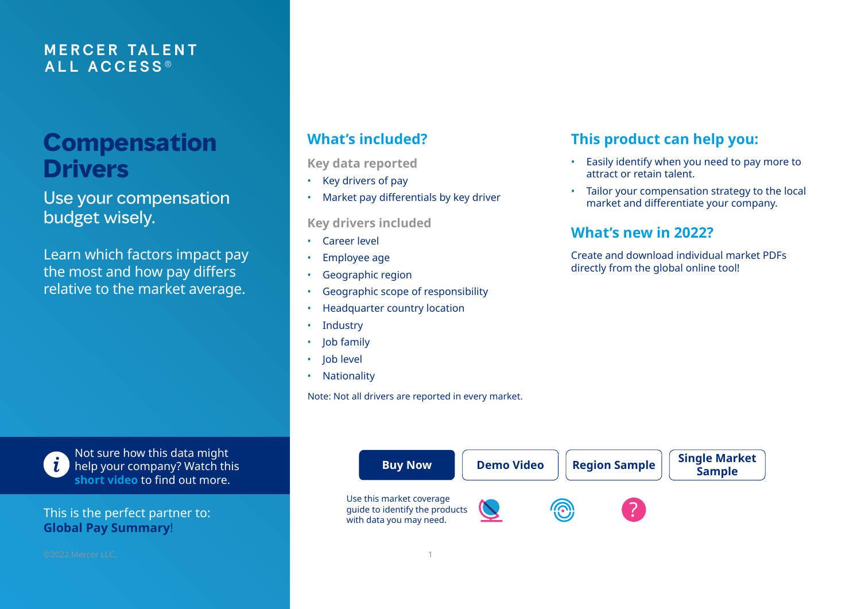### **M E RCER TA L E N T ALL A C C E S S ®**

# **Compensation Drivers**

Use your compensation budget wisely.

Learn which factors impact pay the most and how pay differs relative to the market average.

**Key data reported**

- Key drivers of pay
- Market pay differentials by key driver

**Key drivers included**

- Career level
- Employee age
- Geographic region
- Geographic scope of responsibility
- Headquarter country location
- **Industry**
- Job family
- Job level
- Nationality

Note: Not all drivers are reported in every market.

# **What's included? This product can help you:**

- Easily identify when you need to pay more to attract or retain talent.
- Tailor your compensation strategy to the local market and differentiate your company.

## **What's new in 2022?**

Create and download individual market PDFs directly from the global online tool!





Not sure how this data might help your company? Watch this **[short video](https://taap.mercer.com/what-drives-compensation)** to find out more.

This is the perfect partner to: **[Global Pay Summary](https://www.imercer.com/products/global-pay-summary)**!

©2022 Mercer LLC. 1